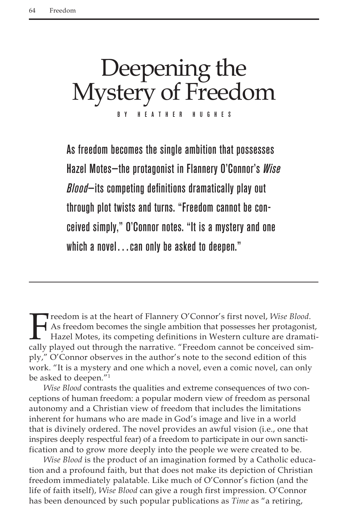# Deepening the Mystery of Freedom BY HEATHER HUGHES

As freedom becomes the single ambition that possesses Hazel Motes—the protagonist in Flannery O'Connor's *Wise Blood*—its competing definitions dramatically play out through plot twists and turns. "Freedom cannot be conceived simply," O'Connor notes. "It is a mystery and one which a novel…can only be asked to deepen."

Freedom is at the heart of Flannery O'Connor's first novel, *Wise Blood*.<br>As freedom becomes the single ambition that possesses her protagonised Hazel Motes, its competing definitions in Western culture are dramatically pl As freedom becomes the single ambition that possesses her protagonist, Hazel Motes, its competing definitions in Western culture are dramatically played out through the narrative. "Freedom cannot be conceived simply," O'Connor observes in the author's note to the second edition of this work. "It is a mystery and one which a novel, even a comic novel, can only be asked to deepen."1

*Wise Blood* contrasts the qualities and extreme consequences of two conceptions of human freedom: a popular modern view of freedom as personal autonomy and a Christian view of freedom that includes the limitations inherent for humans who are made in God's image and live in a world that is divinely ordered. The novel provides an awful vision (i.e., one that inspires deeply respectful fear) of a freedom to participate in our own sanctification and to grow more deeply into the people we were created to be.

*Wise Blood* is the product of an imagination formed by a Catholic education and a profound faith, but that does not make its depiction of Christian freedom immediately palatable. Like much of O'Connor's fiction (and the life of faith itself), *Wise Blood* can give a rough first impression. O'Connor has been denounced by such popular publications as *Time* as "a retiring,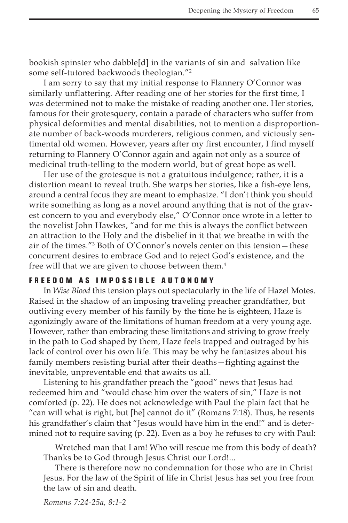bookish spinster who dabble[d] in the variants of sin and salvation like some self-tutored backwoods theologian."2

I am sorry to say that my initial response to Flannery O'Connor was similarly unflattering. After reading one of her stories for the first time, I was determined not to make the mistake of reading another one. Her stories, famous for their grotesquery, contain a parade of characters who suffer from physical deformities and mental disabilities, not to mention a disproportionate number of back-woods murderers, religious conmen, and viciously sentimental old women. However, years after my first encounter, I find myself returning to Flannery O'Connor again and again not only as a source of medicinal truth-telling to the modern world, but of great hope as well.

Her use of the grotesque is not a gratuitous indulgence; rather, it is a distortion meant to reveal truth. She warps her stories, like a fish-eye lens, around a central focus they are meant to emphasize. "I don't think you should write something as long as a novel around anything that is not of the gravest concern to you and everybody else," O'Connor once wrote in a letter to the novelist John Hawkes, "and for me this is always the conflict between an attraction to the Holy and the disbelief in it that we breathe in with the air of the times."3 Both of O'Connor's novels center on this tension—these concurrent desires to embrace God and to reject God's existence, and the free will that we are given to choose between them.<sup>4</sup>

# Freedom as impossible autonomy

In *Wise Blood* this tension plays out spectacularly in the life of Hazel Motes. Raised in the shadow of an imposing traveling preacher grandfather, but outliving every member of his family by the time he is eighteen, Haze is agonizingly aware of the limitations of human freedom at a very young age. However, rather than embracing these limitations and striving to grow freely in the path to God shaped by them, Haze feels trapped and outraged by his lack of control over his own life. This may be why he fantasizes about his family members resisting burial after their deaths—fighting against the inevitable, unpreventable end that awaits us all.

Listening to his grandfather preach the "good" news that Jesus had redeemed him and "would chase him over the waters of sin," Haze is not comforted (p. 22). He does not acknowledge with Paul the plain fact that he "can will what is right, but [he] cannot do it" (Romans 7:18). Thus, he resents his grandfather's claim that "Jesus would have him in the end!" and is determined not to require saving (p. 22). Even as a boy he refuses to cry with Paul:

Wretched man that I am! Who will rescue me from this body of death? Thanks be to God through Jesus Christ our Lord!...

There is therefore now no condemnation for those who are in Christ Jesus. For the law of the Spirit of life in Christ Jesus has set you free from the law of sin and death.

*Romans 7:24-25a, 8:1-2*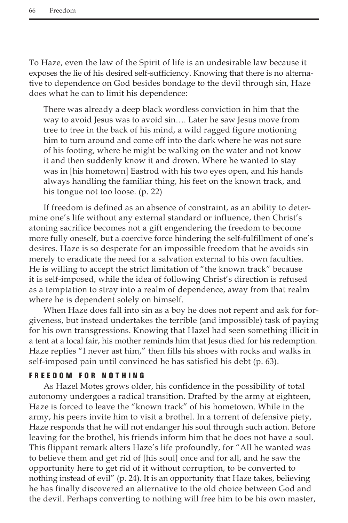To Haze, even the law of the Spirit of life is an undesirable law because it exposes the lie of his desired self-sufficiency. Knowing that there is no alternative to dependence on God besides bondage to the devil through sin, Haze does what he can to limit his dependence:

There was already a deep black wordless conviction in him that the way to avoid Jesus was to avoid sin…. Later he saw Jesus move from tree to tree in the back of his mind, a wild ragged figure motioning him to turn around and come off into the dark where he was not sure of his footing, where he might be walking on the water and not know it and then suddenly know it and drown. Where he wanted to stay was in [his hometown] Eastrod with his two eyes open, and his hands always handling the familiar thing, his feet on the known track, and his tongue not too loose. (p. 22)

If freedom is defined as an absence of constraint, as an ability to determine one's life without any external standard or influence, then Christ's atoning sacrifice becomes not a gift engendering the freedom to become more fully oneself, but a coercive force hindering the self-fulfillment of one's desires. Haze is so desperate for an impossible freedom that he avoids sin merely to eradicate the need for a salvation external to his own faculties. He is willing to accept the strict limitation of "the known track" because it is self-imposed, while the idea of following Christ's direction is refused as a temptation to stray into a realm of dependence, away from that realm where he is dependent solely on himself.

When Haze does fall into sin as a boy he does not repent and ask for forgiveness, but instead undertakes the terrible (and impossible) task of paying for his own transgressions. Knowing that Hazel had seen something illicit in a tent at a local fair, his mother reminds him that Jesus died for his redemption. Haze replies "I never ast him," then fills his shoes with rocks and walks in self-imposed pain until convinced he has satisfied his debt (p. 63).

#### Freedom f or nothing

As Hazel Motes grows older, his confidence in the possibility of total autonomy undergoes a radical transition. Drafted by the army at eighteen, Haze is forced to leave the "known track" of his hometown. While in the army, his peers invite him to visit a brothel. In a torrent of defensive piety, Haze responds that he will not endanger his soul through such action. Before leaving for the brothel, his friends inform him that he does not have a soul. This flippant remark alters Haze's life profoundly, for "All he wanted was to believe them and get rid of [his soul] once and for all, and he saw the opportunity here to get rid of it without corruption, to be converted to nothing instead of evil" (p. 24). It is an opportunity that Haze takes, believing he has finally discovered an alternative to the old choice between God and the devil. Perhaps converting to nothing will free him to be his own master,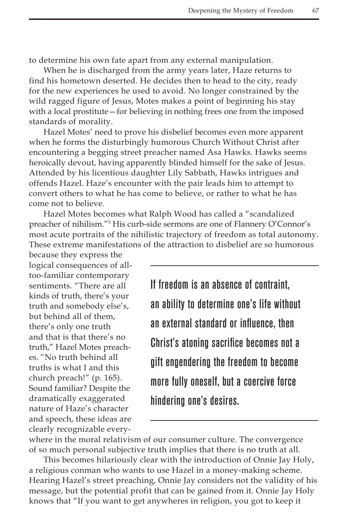to determine his own fate apart from any external manipulation.

When he is discharged from the army years later, Haze returns to find his hometown deserted. He decides then to head to the city, ready for the new experiences he used to avoid. No longer constrained by the wild ragged figure of Jesus, Motes makes a point of beginning his stay with a local prostitute—for believing in nothing frees one from the imposed standards of morality.

Hazel Motes' need to prove his disbelief becomes even more apparent when he forms the disturbingly humorous Church Without Christ after encountering a begging street preacher named Asa Hawks. Hawks seems heroically devout, having apparently blinded himself for the sake of Jesus. Attended by his licentious daughter Lily Sabbath, Hawks intrigues and offends Hazel. Haze's encounter with the pair leads him to attempt to convert others to what he has come to believe, or rather to what he has come not to believe.

Hazel Motes becomes what Ralph Wood has called a "scandalized preacher of nihilism."5 His curb-side sermons are one of Flannery O'Connor's most acute portraits of the nihilistic trajectory of freedom as total autonomy. These extreme manifestations of the attraction to disbelief are so humorous

because they express the logical consequences of alltoo-familiar contemporary sentiments. "There are all kinds of truth, there's your truth and somebody else's, but behind all of them, there's only one truth and that is that there's no truth," Hazel Motes preaches. "No truth behind all truths is what I and this church preach!" (p. 165). Sound familiar? Despite the dramatically exaggerated nature of Haze's character and speech, these ideas are clearly recognizable every-

If freedom is an absence of contraint, an ability to determine one's life without an external standard or influence, then Christ's atoning sacrifice becomes not a gift engendering the freedom to become more fully oneself, but a coercive force hindering one's desires.

where in the moral relativism of our consumer culture. The convergence of so much personal subjective truth implies that there is no truth at all.

This becomes hilariously clear with the introduction of Onnie Jay Holy, a religious conman who wants to use Hazel in a money-making scheme. Hearing Hazel's street preaching, Onnie Jay considers not the validity of his message, but the potential profit that can be gained from it. Onnie Jay Holy knows that "If you want to get anywheres in religion, you got to keep it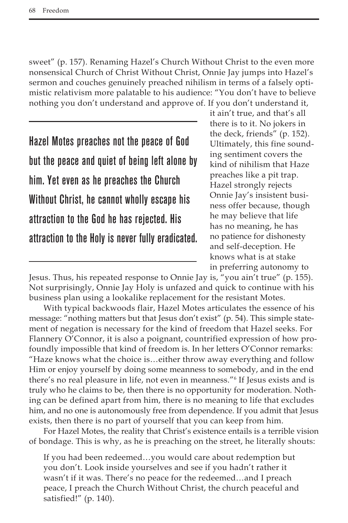sweet" (p. 157). Renaming Hazel's Church Without Christ to the even more nonsensical Church of Christ Without Christ, Onnie Jay jumps into Hazel's sermon and couches genuinely preached nihilism in terms of a falsely optimistic relativism more palatable to his audience: "You don't have to believe nothing you don't understand and approve of. If you don't understand it,

Hazel Motes preaches not the peace of God but the peace and quiet of being left alone by him. Yet even as he preaches the Church Without Christ, he cannot wholly escape his attraction to the God he has rejected. His attraction to the Holy is never fully eradicated. it ain't true, and that's all there is to it. No jokers in the deck, friends" (p. 152). Ultimately, this fine sounding sentiment covers the kind of nihilism that Haze preaches like a pit trap. Hazel strongly rejects Onnie Jay's insistent business offer because, though he may believe that life has no meaning, he has no patience for dishonesty and self-deception. He knows what is at stake in preferring autonomy to

Jesus. Thus, his repeated response to Onnie Jay is, "you ain't true" (p. 155). Not surprisingly, Onnie Jay Holy is unfazed and quick to continue with his business plan using a lookalike replacement for the resistant Motes.

With typical backwoods flair, Hazel Motes articulates the essence of his message: "nothing matters but that Jesus don't exist" (p. 54). This simple statement of negation is necessary for the kind of freedom that Hazel seeks. For Flannery O'Connor, it is also a poignant, countrified expression of how profoundly impossible that kind of freedom is. In her letters O'Connor remarks: "Haze knows what the choice is…either throw away everything and follow Him or enjoy yourself by doing some meanness to somebody, and in the end there's no real pleasure in life, not even in meanness."6 If Jesus exists and is truly who he claims to be, then there is no opportunity for moderation. Nothing can be defined apart from him, there is no meaning to life that excludes him, and no one is autonomously free from dependence. If you admit that Jesus exists, then there is no part of yourself that you can keep from him.

For Hazel Motes, the reality that Christ's existence entails is a terrible vision of bondage. This is why, as he is preaching on the street, he literally shouts:

If you had been redeemed…you would care about redemption but you don't. Look inside yourselves and see if you hadn't rather it wasn't if it was. There's no peace for the redeemed…and I preach peace, I preach the Church Without Christ, the church peaceful and satisfied!" (p. 140).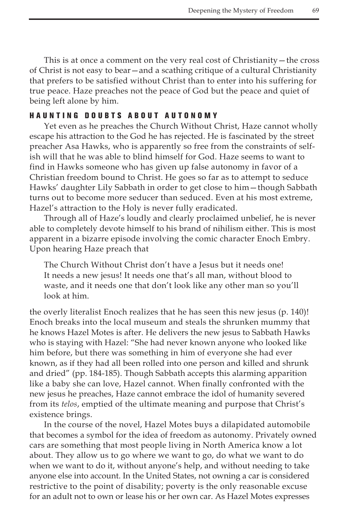This is at once a comment on the very real cost of Christianity—the cross of Christ is not easy to bear—and a scathing critique of a cultural Christianity that prefers to be satisfied without Christ than to enter into his suffering for true peace. Haze preaches not the peace of God but the peace and quiet of being left alone by him.

### H aunting doubts about autonomy

Yet even as he preaches the Church Without Christ, Haze cannot wholly escape his attraction to the God he has rejected. He is fascinated by the street preacher Asa Hawks, who is apparently so free from the constraints of selfish will that he was able to blind himself for God. Haze seems to want to find in Hawks someone who has given up false autonomy in favor of a Christian freedom bound to Christ. He goes so far as to attempt to seduce Hawks' daughter Lily Sabbath in order to get close to him—though Sabbath turns out to become more seducer than seduced. Even at his most extreme, Hazel's attraction to the Holy is never fully eradicated.

Through all of Haze's loudly and clearly proclaimed unbelief, he is never able to completely devote himself to his brand of nihilism either. This is most apparent in a bizarre episode involving the comic character Enoch Embry. Upon hearing Haze preach that

The Church Without Christ don't have a Jesus but it needs one! It needs a new jesus! It needs one that's all man, without blood to waste, and it needs one that don't look like any other man so you'll look at him.

the overly literalist Enoch realizes that he has seen this new jesus (p. 140)! Enoch breaks into the local museum and steals the shrunken mummy that he knows Hazel Motes is after. He delivers the new jesus to Sabbath Hawks who is staying with Hazel: "She had never known anyone who looked like him before, but there was something in him of everyone she had ever known, as if they had all been rolled into one person and killed and shrunk and dried" (pp. 184-185). Though Sabbath accepts this alarming apparition like a baby she can love, Hazel cannot. When finally confronted with the new jesus he preaches, Haze cannot embrace the idol of humanity severed from its *telos*, emptied of the ultimate meaning and purpose that Christ's existence brings.

In the course of the novel, Hazel Motes buys a dilapidated automobile that becomes a symbol for the idea of freedom as autonomy. Privately owned cars are something that most people living in North America know a lot about. They allow us to go where we want to go, do what we want to do when we want to do it, without anyone's help, and without needing to take anyone else into account. In the United States, not owning a car is considered restrictive to the point of disability; poverty is the only reasonable excuse for an adult not to own or lease his or her own car. As Hazel Motes expresses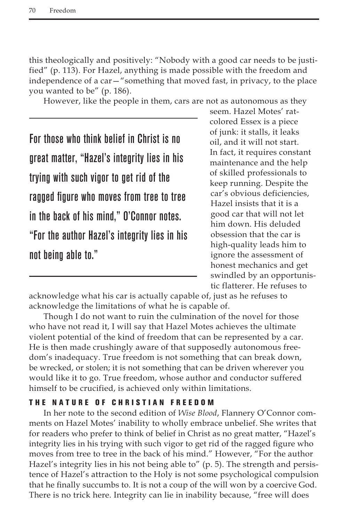this theologically and positively: "Nobody with a good car needs to be justified" (p. 113). For Hazel, anything is made possible with the freedom and independence of a car—"something that moved fast, in privacy, to the place you wanted to be" (p. 186).

However, like the people in them, cars are not as autonomous as they

For those who think belief in Christ is no great matter, "Hazel's integrity lies in his trying with such vigor to get rid of the ragged figure who moves from tree to tree in the back of his mind," O'Connor notes. "For the author Hazel's integrity lies in his not being able to."

seem. Hazel Motes' ratcolored Essex is a piece of junk: it stalls, it leaks oil, and it will not start. In fact, it requires constant maintenance and the help of skilled professionals to keep running. Despite the car's obvious deficiencies, Hazel insists that it is a good car that will not let him down. His deluded obsession that the car is high-quality leads him to ignore the assessment of honest mechanics and get swindled by an opportunistic flatterer. He refuses to

acknowledge what his car is actually capable of, just as he refuses to acknowledge the limitations of what he is capable of.

Though I do not want to ruin the culmination of the novel for those who have not read it, I will say that Hazel Motes achieves the ultimate violent potential of the kind of freedom that can be represented by a car. He is then made crushingly aware of that supposedly autonomous freedom's inadequacy. True freedom is not something that can break down, be wrecked, or stolen; it is not something that can be driven wherever you would like it to go. True freedom, whose author and conductor suffered himself to be crucified, is achieved only within limitations.

# T he N ature o f Christian f reedom

In her note to the second edition of *Wise Blood*, Flannery O'Connor comments on Hazel Motes' inability to wholly embrace unbelief. She writes that for readers who prefer to think of belief in Christ as no great matter, "Hazel's integrity lies in his trying with such vigor to get rid of the ragged figure who moves from tree to tree in the back of his mind." However, "For the author Hazel's integrity lies in his not being able to" (p. 5). The strength and persistence of Hazel's attraction to the Holy is not some psychological compulsion that he finally succumbs to. It is not a coup of the will won by a coercive God. There is no trick here. Integrity can lie in inability because, "free will does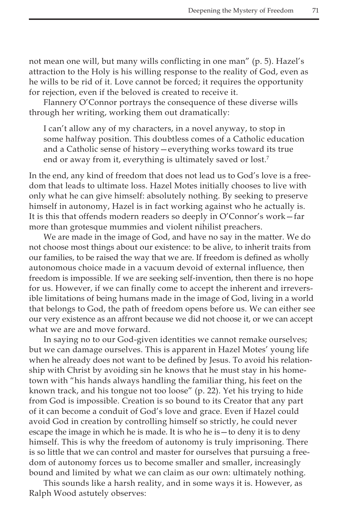not mean one will, but many wills conflicting in one man" (p. 5). Hazel's attraction to the Holy is his willing response to the reality of God, even as he wills to be rid of it. Love cannot be forced; it requires the opportunity for rejection, even if the beloved is created to receive it.

Flannery O'Connor portrays the consequence of these diverse wills through her writing, working them out dramatically:

I can't allow any of my characters, in a novel anyway, to stop in some halfway position. This doubtless comes of a Catholic education and a Catholic sense of history—everything works toward its true end or away from it, everything is ultimately saved or lost.<sup>7</sup>

In the end, any kind of freedom that does not lead us to God's love is a freedom that leads to ultimate loss. Hazel Motes initially chooses to live with only what he can give himself: absolutely nothing. By seeking to preserve himself in autonomy, Hazel is in fact working against who he actually is. It is this that offends modern readers so deeply in O'Connor's work—far more than grotesque mummies and violent nihilist preachers.

We are made in the image of God, and have no say in the matter. We do not choose most things about our existence: to be alive, to inherit traits from our families, to be raised the way that we are. If freedom is defined as wholly autonomous choice made in a vacuum devoid of external influence, then freedom is impossible. If we are seeking self-invention, then there is no hope for us. However, if we can finally come to accept the inherent and irreversible limitations of being humans made in the image of God, living in a world that belongs to God, the path of freedom opens before us. We can either see our very existence as an affront because we did not choose it, or we can accept what we are and move forward.

In saying no to our God-given identities we cannot remake ourselves; but we can damage ourselves. This is apparent in Hazel Motes' young life when he already does not want to be defined by Jesus. To avoid his relationship with Christ by avoiding sin he knows that he must stay in his hometown with "his hands always handling the familiar thing, his feet on the known track, and his tongue not too loose" (p. 22). Yet his trying to hide from God is impossible. Creation is so bound to its Creator that any part of it can become a conduit of God's love and grace. Even if Hazel could avoid God in creation by controlling himself so strictly, he could never escape the image in which he is made. It is who he is—to deny it is to deny himself. This is why the freedom of autonomy is truly imprisoning. There is so little that we can control and master for ourselves that pursuing a freedom of autonomy forces us to become smaller and smaller, increasingly bound and limited by what we can claim as our own: ultimately nothing.

This sounds like a harsh reality, and in some ways it is. However, as Ralph Wood astutely observes: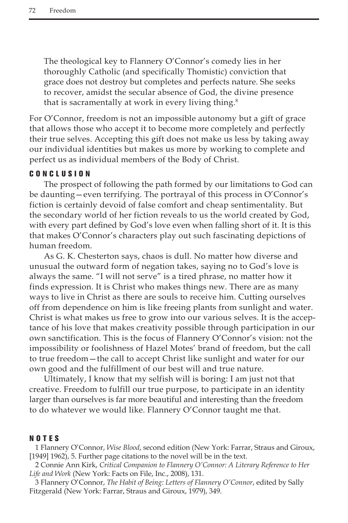The theological key to Flannery O'Connor's comedy lies in her thoroughly Catholic (and specifically Thomistic) conviction that grace does not destroy but completes and perfects nature. She seeks to recover, amidst the secular absence of God, the divine presence that is sacramentally at work in every living thing.<sup>8</sup>

For O'Connor, freedom is not an impossible autonomy but a gift of grace that allows those who accept it to become more completely and perfectly their true selves. Accepting this gift does not make us less by taking away our individual identities but makes us more by working to complete and perfect us as individual members of the Body of Christ.

#### Con c lusion

The prospect of following the path formed by our limitations to God can be daunting—even terrifying. The portrayal of this process in O'Connor's fiction is certainly devoid of false comfort and cheap sentimentality. But the secondary world of her fiction reveals to us the world created by God, with every part defined by God's love even when falling short of it. It is this that makes O'Connor's characters play out such fascinating depictions of human freedom.

As G. K. Chesterton says, chaos is dull. No matter how diverse and unusual the outward form of negation takes, saying no to God's love is always the same. "I will not serve" is a tired phrase, no matter how it finds expression. It is Christ who makes things new. There are as many ways to live in Christ as there are souls to receive him. Cutting ourselves off from dependence on him is like freeing plants from sunlight and water. Christ is what makes us free to grow into our various selves. It is the acceptance of his love that makes creativity possible through participation in our own sanctification. This is the focus of Flannery O'Connor's vision: not the impossibility or foolishness of Hazel Motes' brand of freedom, but the call to true freedom—the call to accept Christ like sunlight and water for our own good and the fulfillment of our best will and true nature.

Ultimately, I know that my selfish will is boring: I am just not that creative. Freedom to fulfill our true purpose, to participate in an identity larger than ourselves is far more beautiful and interesting than the freedom to do whatever we would like. Flannery O'Connor taught me that.

#### **NOTES**

1 Flannery O'Connor, *Wise Blood*, second edition (New York: Farrar, Straus and Giroux, [1949] 1962), 5. Further page citations to the novel will be in the text.

2 Connie Ann Kirk, *Critical Companion to Flannery O'Connor: A Literary Reference to Her Life and Work* (New York: Facts on File, Inc., 2008), 131.

3 Flannery O'Connor, *The Habit of Being: Letters of Flannery O'Connor*, edited by Sally Fitzgerald (New York: Farrar, Straus and Giroux, 1979), 349.